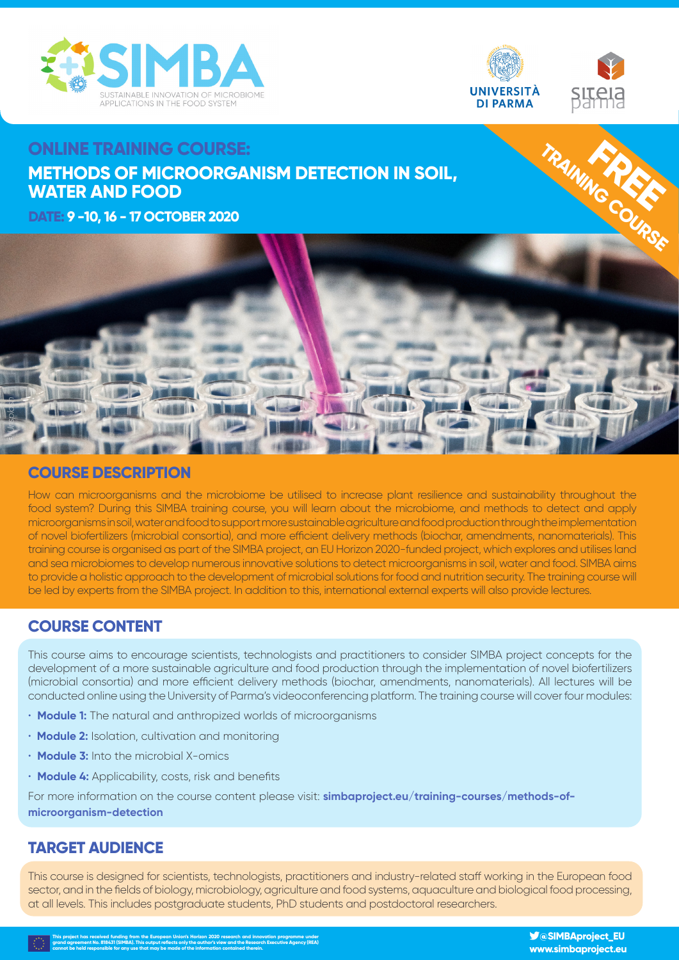



# **ONLINE TRAINING COURSE: METHODS OF MICROORGANISM DETECTION IN SOIL, WATER AND FOOD**

**DATE: 9 -10, 16 - 17 OCTOBER 2020** 



#### **COURSE DESCRIPTION**

How can microorganisms and the microbiome be utilised to increase plant resilience and sustainability throughout the food system? During this SIMBA training course, you will learn about the microbiome, and methods to detect and apply microorganisms in soil, water and food to support more sustainable agriculture and food production through the implementation of novel biofertilizers (microbial consortia), and more efficient delivery methods (biochar, amendments, nanomaterials). This training course is organised as part of the SIMBA project, an EU Horizon 2020-funded project, which explores and utilises land and sea microbiomes to develop numerous innovative solutions to detect microorganisms in soil, water and food. SIMBA aims to provide a holistic approach to the development of microbial solutions for food and nutrition security. The training course will be led by experts from the SIMBA project. In addition to this, international external experts will also provide lectures.

## **COURSE CONTENT**

This course aims to encourage scientists, technologists and practitioners to consider SIMBA project concepts for the development of a more sustainable agriculture and food production through the implementation of novel biofertilizers (microbial consortia) and more efficient delivery methods (biochar, amendments, nanomaterials). All lectures will be conducted online using the University of Parma's videoconferencing platform. The training course will cover four modules:

- **Module 1:** The natural and anthropized worlds of microorganisms
- **Module 2:** Isolation, cultivation and monitoring
- **Module 3:** Into the microbial X-omics
- **Module 4:** Applicability, costs, risk and benefits

For more information on the course content please visit: **simbaproject.eu/training-courses/methods-ofmicroorganism-detection**

## **TARGET AUDIENCE**

This course is designed for scientists, technologists, practitioners and industry-related staff working in the European food sector, and in the fields of biology, microbiology, agriculture and food systems, aquaculture and biological food processing, at all levels. This includes postgraduate students, PhD students and postdoctoral researchers.